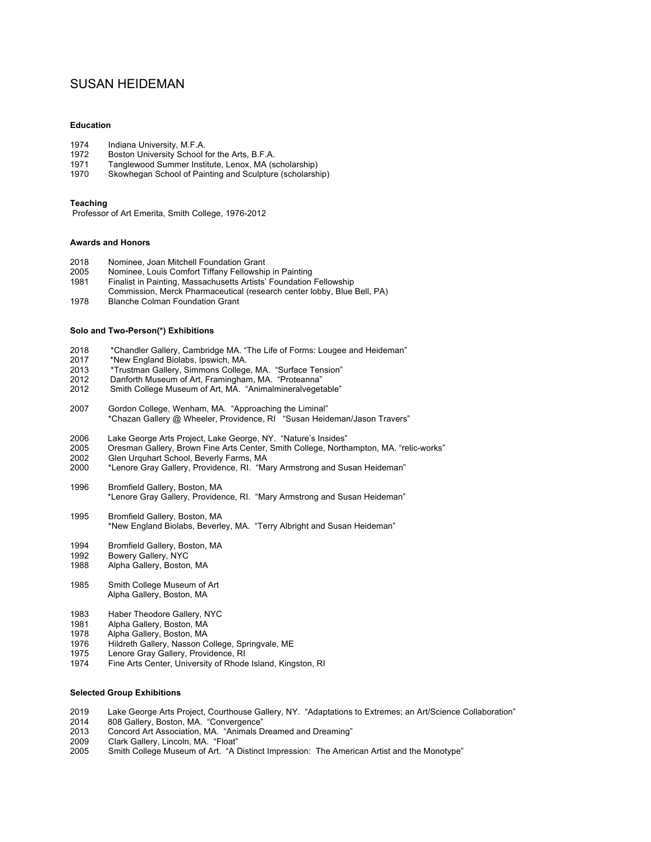# SUSAN HEIDEMAN

## **Education**

- 1974 Indiana University, M.F.A.
- 1972 Boston University School for the Arts, B.F.A.
- 1971 Tanglewood Summer Institute, Lenox, MA (scholarship)<br>1970 Skowhegan School of Painting and Sculpture (scholarsh
- Skowhegan School of Painting and Sculpture (scholarship)

### **Teaching**

Professor of Art Emerita, Smith College, 1976-2012

# **Awards and Honors**

- 2018 Nominee, Joan Mitchell Foundation Grant
- 2005 Nominee, Louis Comfort Tiffany Fellowship in Painting
- Finalist in Painting, Massachusetts Artists' Foundation Fellowship
- Commission, Merck Pharmaceutical (research center lobby, Blue Bell, PA)
- 1978 Blanche Colman Foundation Grant

#### **Solo and Two-Person(\*) Exhibitions**

- 2018 \*Chandler Gallery, Cambridge MA. "The Life of Forms: Lougee and Heideman"<br>2017 \*New England Biolabs. Ipswich. MA.
- \*New England Biolabs, Ipswich, MA.
- 2013 <sup>\*</sup>Trustman Gallery, Simmons College, MA. "Surface Tension"<br>2012 Danforth Museum of Art. Framingham. MA. "Proteanna"
- Danforth Museum of Art, Framingham, MA. "Proteanna"
- 2012 Smith College Museum of Art, MA. "Animalmineralvegetable"
- 2007 Gordon College, Wenham, MA. "Approaching the Liminal" \*Chazan Gallery @ Wheeler, Providence, RI "Susan Heideman/Jason Travers"
- 2006 Lake George Arts Project, Lake George, NY. "Nature's Insides"
- 2005 Oresman Gallery, Brown Fine Arts Center, Smith College, Northampton, MA. "relic-works"
- 2002 Glen Urquhart School, Beverly Farms, MA<br>2000 \* enore Grav Gallery, Providence, RL "Ma
- \*Lenore Gray Gallery, Providence, RI. "Mary Armstrong and Susan Heideman"
- 1996 Bromfield Gallery, Boston, MA \*Lenore Gray Gallery, Providence, RI. "Mary Armstrong and Susan Heideman"
- 1995 Bromfield Gallery, Boston, MA \*New England Biolabs, Beverley, MA. "Terry Albright and Susan Heideman"
- 
- 1994 Bromfield Gallery, Boston, MA<br>1992 Bowery Gallery, NYC Bowery Gallery, NYC
- 1988 Alpha Gallery, Boston, MA
- 1985 Smith College Museum of Art Alpha Gallery, Boston, MA
- 1983 Haber Theodore Gallery, NYC<br>1981 Alpha Gallery, Boston, MA
- Alpha Gallery, Boston, MA
- 1978 Alpha Gallery, Boston, MA<br>1976 Hildreth Gallery, Nasson C
- 1976 Hildreth Gallery, Nasson College, Springvale, ME<br>1975 Lenore Gray Gallery, Providence, RI
- Lenore Gray Gallery, Providence, RI
- 1974 Fine Arts Center, University of Rhode Island, Kingston, RI

## **Selected Group Exhibitions**

- 2019 Lake George Arts Project, Courthouse Gallery, NY. "Adaptations to Extremes; an Art/Science Collaboration"
- 2014 808 Gallery, Boston, MA. "Convergence"
- 2013 Concord Art Association, MA. "Animals Dreamed and Dreaming"<br>2009 Clark Gallery, Lincoln, MA. "Float"
- Clark Gallery, Lincoln, MA. "Float"
- 2005 Smith College Museum of Art. "A Distinct Impression: The American Artist and the Monotype"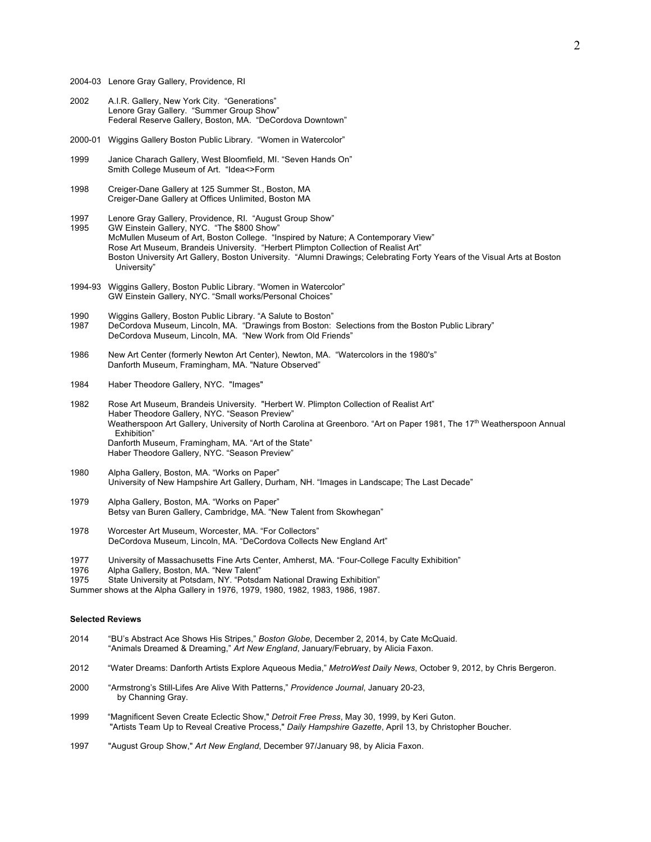- 2004-03 Lenore Gray Gallery, Providence, RI
- 2002 A.I.R. Gallery, New York City. "Generations" Lenore Gray Gallery. "Summer Group Show" Federal Reserve Gallery, Boston, MA. "DeCordova Downtown"
- 2000-01 Wiggins Gallery Boston Public Library. "Women in Watercolor"
- 1999 Janice Charach Gallery, West Bloomfield, MI. "Seven Hands On" Smith College Museum of Art. "Idea<>Form
- 1998 Creiger-Dane Gallery at 125 Summer St., Boston, MA Creiger-Dane Gallery at Offices Unlimited, Boston MA
- 1997 Lenore Gray Gallery, Providence, RI. "August Group Show"<br>1995 GW Einstein Gallery, NYC. "The \$800 Show"
- GW Einstein Gallery, NYC. "The \$800 Show" McMullen Museum of Art, Boston College. "Inspired by Nature; A Contemporary View" Rose Art Museum, Brandeis University. "Herbert Plimpton Collection of Realist Art" Boston University Art Gallery, Boston University. "Alumni Drawings; Celebrating Forty Years of the Visual Arts at Boston University"
- 1994-93 Wiggins Gallery, Boston Public Library. "Women in Watercolor" GW Einstein Gallery, NYC. "Small works/Personal Choices"
- 1990 Wiggins Gallery, Boston Public Library. "A Salute to Boston"
- 1987 DeCordova Museum, Lincoln, MA. "Drawings from Boston: Selections from the Boston Public Library" DeCordova Museum, Lincoln, MA. "New Work from Old Friends"
- 1986 New Art Center (formerly Newton Art Center), Newton, MA. "Watercolors in the 1980's" Danforth Museum, Framingham, MA. "Nature Observed"
- 1984 Haber Theodore Gallery, NYC. "Images"
- 1982 Rose Art Museum, Brandeis University. "Herbert W. Plimpton Collection of Realist Art" Haber Theodore Gallery, NYC. "Season Preview" Weatherspoon Art Gallery, University of North Carolina at Greenboro. "Art on Paper 1981, The 17<sup>th</sup> Weatherspoon Annual Exhibition" Danforth Museum, Framingham, MA. "Art of the State" Haber Theodore Gallery, NYC. "Season Preview"
- 1980 Alpha Gallery, Boston, MA. "Works on Paper" University of New Hampshire Art Gallery, Durham, NH. "Images in Landscape; The Last Decade"
- 1979 Alpha Gallery, Boston, MA. "Works on Paper" Betsy van Buren Gallery, Cambridge, MA. "New Talent from Skowhegan"
- 1978 Worcester Art Museum, Worcester, MA. "For Collectors" DeCordova Museum, Lincoln, MA. "DeCordova Collects New England Art"
- 1977 University of Massachusetts Fine Arts Center, Amherst, MA. "Four-College Faculty Exhibition"
- 1976 Alpha Gallery, Boston, MA. "New Talent"
- 1975 State University at Potsdam, NY. "Potsdam National Drawing Exhibition"
- Summer shows at the Alpha Gallery in 1976, 1979, 1980, 1982, 1983, 1986, 1987.

# **Selected Reviews**

- 2014 "BU's Abstract Ace Shows His Stripes," *Boston Globe,* December 2, 2014, by Cate McQuaid. "Animals Dreamed & Dreaming," *Art New England*, January/February, by Alicia Faxon.
- 2012 "Water Dreams: Danforth Artists Explore Aqueous Media," *MetroWest Daily News*, October 9, 2012, by Chris Bergeron.
- 2000 "Armstrong's Still-Lifes Are Alive With Patterns," *Providence Journal*, January 20-23, by Channing Gray.
- 1999 "Magnificent Seven Create Eclectic Show," *Detroit Free Press*, May 30, 1999, by Keri Guton. "Artists Team Up to Reveal Creative Process," *Daily Hampshire Gazette*, April 13, by Christopher Boucher.
- 1997 "August Group Show," *Art New England*, December 97/January 98, by Alicia Faxon.